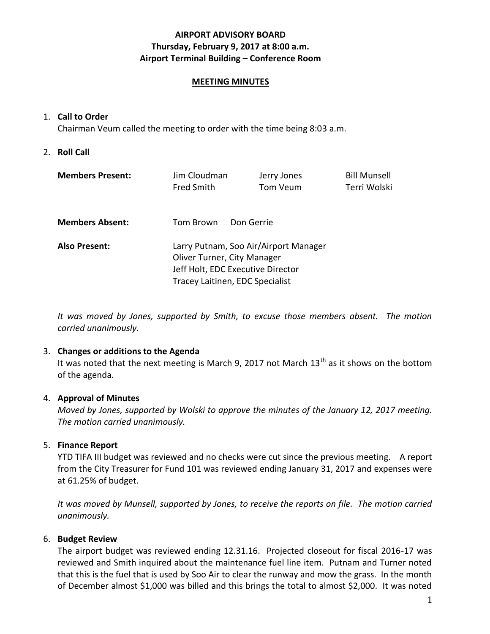## **AIRPORT ADVISORY BOARD Thursday, February 9, 2017 at 8:00 a.m. Airport Terminal Building – Conference Room**

### **MEETING MINUTES**

### 1. **Call to Order**

Chairman Veum called the meeting to order with the time being 8:03 a.m.

2. **Roll Call**

| <b>Members Present:</b> | Jim Cloudman                          | Jerry Jones | <b>Bill Munsell</b> |
|-------------------------|---------------------------------------|-------------|---------------------|
|                         | <b>Fred Smith</b>                     | Tom Veum    | Terri Wolski        |
|                         |                                       |             |                     |
| <b>Members Absent:</b>  | Don Gerrie<br>Tom Brown               |             |                     |
|                         |                                       |             |                     |
| <b>Also Present:</b>    | Larry Putnam, Soo Air/Airport Manager |             |                     |
|                         | Oliver Turner, City Manager           |             |                     |
|                         | Jeff Holt, EDC Executive Director     |             |                     |
|                         | Tracey Laitinen, EDC Specialist       |             |                     |
|                         |                                       |             |                     |

*It was moved by Jones, supported by Smith, to excuse those members absent. The motion carried unanimously.*

### 3. **Changes or additions to the Agenda**

It was noted that the next meeting is March 9, 2017 not March  $13<sup>th</sup>$  as it shows on the bottom of the agenda.

## 4. **Approval of Minutes**

*Moved by Jones, supported by Wolski to approve the minutes of the January 12, 2017 meeting. The motion carried unanimously.*

## 5. **Finance Report**

YTD TIFA III budget was reviewed and no checks were cut since the previous meeting. A report from the City Treasurer for Fund 101 was reviewed ending January 31, 2017 and expenses were at 61.25% of budget.

*It was moved by Munsell, supported by Jones, to receive the reports on file. The motion carried unanimously.*

## 6. **Budget Review**

The airport budget was reviewed ending 12.31.16. Projected closeout for fiscal 2016-17 was reviewed and Smith inquired about the maintenance fuel line item. Putnam and Turner noted that this is the fuel that is used by Soo Air to clear the runway and mow the grass. In the month of December almost \$1,000 was billed and this brings the total to almost \$2,000. It was noted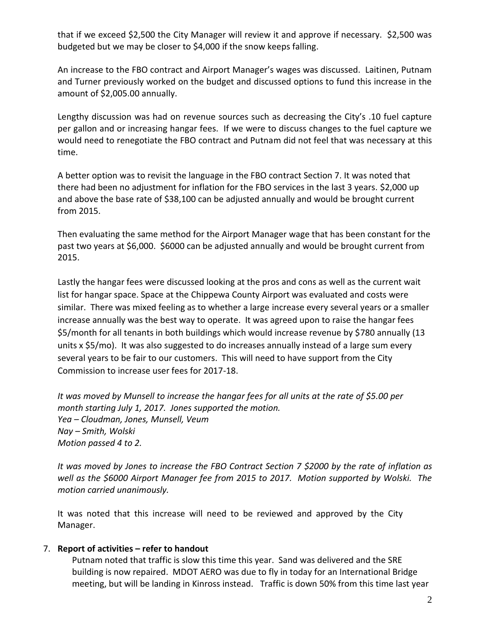that if we exceed \$2,500 the City Manager will review it and approve if necessary. \$2,500 was budgeted but we may be closer to \$4,000 if the snow keeps falling.

An increase to the FBO contract and Airport Manager's wages was discussed. Laitinen, Putnam and Turner previously worked on the budget and discussed options to fund this increase in the amount of \$2,005.00 annually.

Lengthy discussion was had on revenue sources such as decreasing the City's .10 fuel capture per gallon and or increasing hangar fees. If we were to discuss changes to the fuel capture we would need to renegotiate the FBO contract and Putnam did not feel that was necessary at this time.

A better option was to revisit the language in the FBO contract Section 7. It was noted that there had been no adjustment for inflation for the FBO services in the last 3 years. \$2,000 up and above the base rate of \$38,100 can be adjusted annually and would be brought current from 2015.

Then evaluating the same method for the Airport Manager wage that has been constant for the past two years at \$6,000. \$6000 can be adjusted annually and would be brought current from 2015.

Lastly the hangar fees were discussed looking at the pros and cons as well as the current wait list for hangar space. Space at the Chippewa County Airport was evaluated and costs were similar. There was mixed feeling as to whether a large increase every several years or a smaller increase annually was the best way to operate. It was agreed upon to raise the hangar fees \$5/month for all tenants in both buildings which would increase revenue by \$780 annually (13 units x \$5/mo). It was also suggested to do increases annually instead of a large sum every several years to be fair to our customers. This will need to have support from the City Commission to increase user fees for 2017-18.

*It was moved by Munsell to increase the hangar fees for all units at the rate of \$5.00 per month starting July 1, 2017. Jones supported the motion. Yea – Cloudman, Jones, Munsell, Veum Nay – Smith, Wolski Motion passed 4 to 2.* 

*It was moved by Jones to increase the FBO Contract Section 7 \$2000 by the rate of inflation as well as the \$6000 Airport Manager fee from 2015 to 2017. Motion supported by Wolski. The motion carried unanimously.*

It was noted that this increase will need to be reviewed and approved by the City Manager.

## 7. **Report of activities – refer to handout**

Putnam noted that traffic is slow this time this year. Sand was delivered and the SRE building is now repaired. MDOT AERO was due to fly in today for an International Bridge meeting, but will be landing in Kinross instead. Traffic is down 50% from this time last year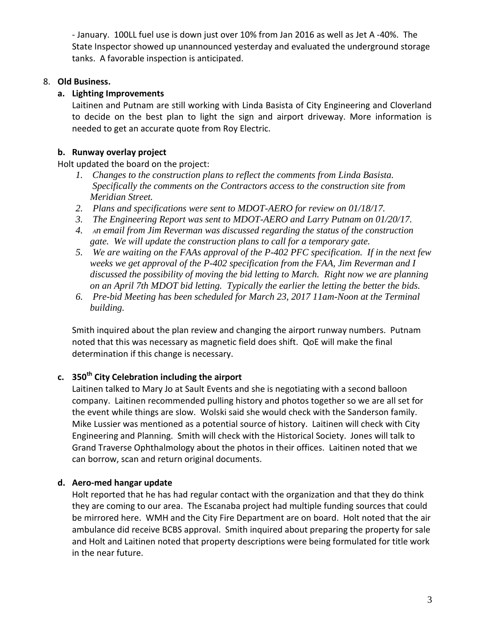- January. 100LL fuel use is down just over 10% from Jan 2016 as well as Jet A -40%. The State Inspector showed up unannounced yesterday and evaluated the underground storage tanks. A favorable inspection is anticipated.

## 8. **Old Business.**

# **a. Lighting Improvements**

Laitinen and Putnam are still working with Linda Basista of City Engineering and Cloverland to decide on the best plan to light the sign and airport driveway. More information is needed to get an accurate quote from Roy Electric.

# **b. Runway overlay project**

Holt updated the board on the project:

- *1. Changes to the construction plans to reflect the comments from Linda Basista. Specifically the comments on the Contractors access to the construction site from Meridian Street.*
- *2. Plans and specifications were sent to MDOT-AERO for review on 01/18/17.*
- *3. The Engineering Report was sent to MDOT-AERO and Larry Putnam on 01/20/17.*
- *4. An email from Jim Reverman was discussed regarding the status of the construction gate. We will update the construction plans to call for a temporary gate.*
- *5. We are waiting on the FAAs approval of the P-402 PFC specification. If in the next few weeks we get approval of the P-402 specification from the FAA, Jim Reverman and I discussed the possibility of moving the bid letting to March. Right now we are planning on an April 7th MDOT bid letting. Typically the earlier the letting the better the bids.*
- *6. Pre-bid Meeting has been scheduled for March 23, 2017 11am-Noon at the Terminal building.*

Smith inquired about the plan review and changing the airport runway numbers. Putnam noted that this was necessary as magnetic field does shift. QoE will make the final determination if this change is necessary.

# **c. 350th City Celebration including the airport**

Laitinen talked to Mary Jo at Sault Events and she is negotiating with a second balloon company. Laitinen recommended pulling history and photos together so we are all set for the event while things are slow. Wolski said she would check with the Sanderson family. Mike Lussier was mentioned as a potential source of history. Laitinen will check with City Engineering and Planning. Smith will check with the Historical Society. Jones will talk to Grand Traverse Ophthalmology about the photos in their offices. Laitinen noted that we can borrow, scan and return original documents.

## **d. Aero-med hangar update**

Holt reported that he has had regular contact with the organization and that they do think they are coming to our area. The Escanaba project had multiple funding sources that could be mirrored here. WMH and the City Fire Department are on board. Holt noted that the air ambulance did receive BCBS approval. Smith inquired about preparing the property for sale and Holt and Laitinen noted that property descriptions were being formulated for title work in the near future.